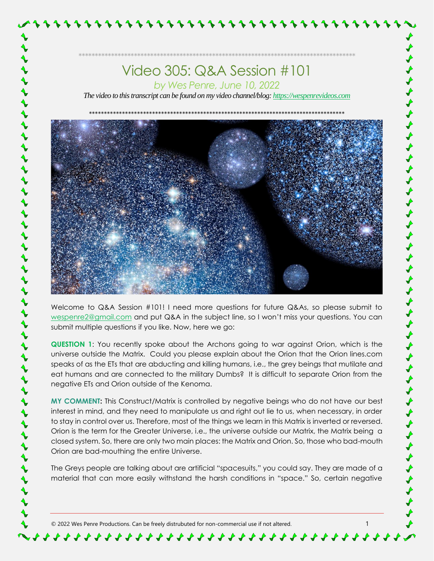*The video to this transcript can be found on my video channel/blog[: https://wespenrevideos.com](https://wespenrevideos.com/)* 



ナナナナナナナナナナナナナナ

ナナナナナナナナナナナナ

Welcome to Q&A Session #101! I need more questions for future Q&As, so please submit to [wespenre2@gmail.com](mailto:wespenre2@gmail.com) and put Q&A in the subject line, so I won't miss your questions. You can submit multiple questions if you like. Now, here we go:

**QUESTION 1**: You recently spoke about the Archons going to war against Orion, which is the universe outside the Matrix. Could you please explain about the Orion that the Orion lines.com speaks of as the ETs that are abducting and killing humans, i.e., the grey beings that mutilate and eat humans and are connected to the military Dumbs? It is difficult to separate Orion from the negative ETs and Orion outside of the Kenoma.

**MY COMMENT:** This Construct/Matrix is controlled by negative beings who do not have our best interest in mind, and they need to manipulate us and right out lie to us, when necessary, in order to stay in control over us. Therefore, most of the things we learn in this Matrix is inverted or reversed. Orion is the term for the Greater Universe, i.e., the universe outside our Matrix, the Matrix being a closed system. So, there are only two main places: the Matrix and Orion. So, those who bad-mouth Orion are bad-mouthing the entire Universe.

The Greys people are talking about are artificial "spacesuits," you could say. They are made of a material that can more easily withstand the harsh conditions in "space." So, certain negative

© 2022 Wes Penre Productions. Can be freely distrubuted for non-commercial use if not altered. 1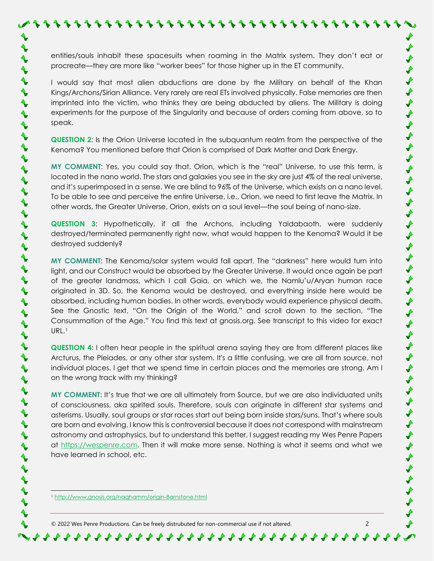entities/souls inhabit these spacesuits when roaming in the Matrix system. They don't eat or procreate—they are more like "worker bees" for those higher up in the ET community.

I would say that most alien abductions are done by the Military on behalf of the Khan Kings/Archons/Sirian Alliance. Very rarely are real ETs involved physically. False memories are then imprinted into the victim, who thinks they are being abducted by aliens. The Military is doing experiments for the purpose of the Singularity and because of orders coming from above, so to speak.

**QUESTION 2**: Is the Orion Universe located in the subquantum realm from the perspective of the Kenoma? You mentioned before that Orion is comprised of Dark Matter and Dark Energy.

**MY COMMENT**: Yes, you could say that. Orion, which is the "real" Universe, to use this term, is located in the nano world. The stars and galaxies you see in the sky are just 4% of the real universe, and it's superimposed in a sense. We are blind to 96% of the Universe, which exists on a nano level. To be able to see and perceive the entire Universe, i.e., Orion, we need to first leave the Matrix. In other words, the Greater Universe, Orion, exists on a soul level—the soul being of nano-size.

**QUESTION 3**: Hypothetically, if all the Archons, including Yaldabaoth, were suddenly destroyed/terminated permanently right now, what would happen to the Kenoma? Would it be destroyed suddenly?

**MY COMMENT**: The Kenoma/solar system would fall apart. The "darkness" here would turn into light, and our Construct would be absorbed by the Greater Universe. It would once again be part of the greater landmass, which I call Gaia, on which we, the Namlu'u/Aryan human race originated in 3D. So, the Kenoma would be destroyed, and everything inside here would be absorbed, including human bodies. In other words, everybody would experience physical death. See the Gnostic text, "On the Origin of the World," and scroll down to the section, "The Consummation of the Age." You find this text at gnosis.org. See transcript to this video for exact URL.<sup>1</sup>

**QUESTION 4**: I often hear people in the spiritual arena saying they are from different places like Arcturus, the Pleiades, or any other star system. It's a little confusing, we are all from source, not individual places. I get that we spend time in certain places and the memories are strong. Am I on the wrong track with my thinking?

**MY COMMENT**: It's true that we are all ultimately from Source, but we are also individuated units of consciousness, aka spirited souls. Therefore, souls can originate in different star systems and asterisms. Usually, soul groups or star races start out being born inside stars/suns. That's where souls are born and evolving. I know this is controversial because it does not correspond with mainstream astronomy and astrophysics, but to understand this better, I suggest reading my Wes Penre Papers at [https://wespenre.com.](https://wespenre.com/) Then it will make more sense. Nothing is what it seems and what we have learned in school, etc.

\*\*\*\*\*\*\*\*\*\*\*\*\*\*\*\*\*\*\*\*\*\*\*\*\*\*\*\*\*\*\*\*\*\*\*

<sup>1</sup> <http://www.gnosis.org/naghamm/origin-Barnstone.html>

 $\blacklozenge$  $\blacklozenge$  $\blacklozenge$ 

 $\blacklozenge$ 

 $\blacklozenge$ 

 $\blacklozenge$  $\blacklozenge$ 

 $\blacklozenge$ 

 $\blacklozenge$ 

 $\blacklozenge$  $\blacklozenge$ 

 $\blacklozenge$  $\blacklozenge$ 

 $\blacklozenge$ 

 $\blacklozenge$ 

 $\blacklozenge$  $\blacklozenge$ 

 $\blacklozenge$ 

 $\blacklozenge$ 

 $\blacklozenge$  $\blacklozenge$ 

 $\blacklozenge$  $\blacklozenge$ 

 $\blacklozenge$  $\blacklozenge$ 

 $\blacklozenge$ 

 $\blacklozenge$ 

 $\blacklozenge$ 

 $\blacklozenge$ 

 $\blacklozenge$ 

 $\blacklozenge$ 

 $\blacklozenge$ 

 $\blacklozenge$ 

 $\blacklozenge$ 

 $\blacklozenge$  $\blacklozenge$  $\blacklozenge$  $\blacklozenge$ 

© 2022 Wes Penre Productions. Can be freely distrubuted for non-commercial use if not altered. 2